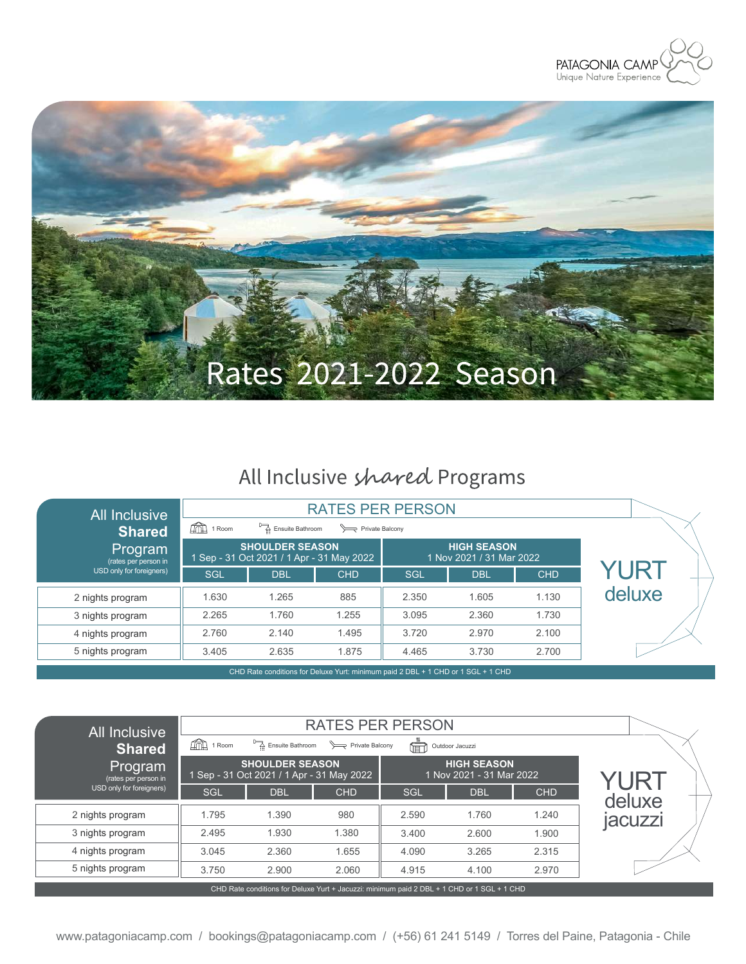



# All Inclusive shared Programs

| <b>All Inclusive</b>            |                               |                                                                                  |                 |            |                                                |            |        |
|---------------------------------|-------------------------------|----------------------------------------------------------------------------------|-----------------|------------|------------------------------------------------|------------|--------|
| <b>Shared</b>                   | $\widehat{\mathbb{F}}$ 1 Room | Ensuite Bathroom                                                                 | Private Balcony |            |                                                |            |        |
| Program<br>(rates per person in |                               | <b>SHOULDER SEASON</b><br>1 Sep - 31 Oct 2021 / 1 Apr - 31 May 2022              |                 |            | <b>HIGH SEASON</b><br>1 Nov 2021 / 31 Mar 2022 |            |        |
| USD only for foreigners)        | <b>SGL</b>                    | <b>DBL</b>                                                                       | <b>CHD</b>      | <b>SGL</b> | <b>DBL</b>                                     | <b>CHD</b> | YURT   |
| 2 nights program                | 1.630                         | 1.265                                                                            | 885             | 2.350      | 1.605                                          | 1.130      | deluxe |
| 3 nights program                | 2.265                         | 1.760                                                                            | 1.255           | 3.095      | 2.360                                          | 1.730      |        |
| 4 nights program                | 2.760                         | 2.140                                                                            | 1.495           | 3.720      | 2.970                                          | 2.100      |        |
| 5 nights program                | 3.405                         | 2.635                                                                            | 1.875           | 4.465      | 3.730                                          | 2.700      |        |
|                                 |                               | CHD Rate conditions for Deluve Vurt: minimum paid 2 DRL + 1 CHD or 1 SGL + 1 CHD |                 |            |                                                |            |        |

CHD Rate conditions for Deluxe Yurt: minimum paid 2 DBL + 1 CHD or 1 SGL + 1 CHD

| <b>All Inclusive</b><br><b>Shared</b>                                                      | $\widehat{\text{Hil}}$ 1 Room | <b>RATES PER PERSON</b><br>Ensuite Bathroom                          |            |            |                                                |            |                |
|--------------------------------------------------------------------------------------------|-------------------------------|----------------------------------------------------------------------|------------|------------|------------------------------------------------|------------|----------------|
| Program<br>(rates per person in                                                            |                               | <b>SHOULDER SEASON.</b><br>1 Sep - 31 Oct 2021 / 1 Apr - 31 May 2022 |            |            | <b>HIGH SEASON</b><br>1 Nov 2021 - 31 Mar 2022 |            | YURT           |
| USD only for foreigners)                                                                   | SGL                           | <b>DBL</b>                                                           | <b>CHD</b> | <b>SGL</b> | <b>DBL</b>                                     | <b>CHD</b> | deluxe         |
| 2 nights program                                                                           | 1.795                         | 1.390                                                                | 980        | 2.590      | 1.760                                          | 1.240      | <b>jacuzzi</b> |
| 3 nights program                                                                           | 2.495                         | 1.930                                                                | 1.380      | 3.400      | 2.600                                          | 1.900      |                |
| 4 nights program                                                                           | 3.045                         | 2.360                                                                | 1.655      | 4.090      | 3.265                                          | 2.315      |                |
| 5 nights program                                                                           | 3.750                         | 2.900                                                                | 2.060      | 4.915      | 4.100                                          | 2.970      |                |
| CHD Rate conditions for Deluxe Yurt + Jacuzzi: minimum paid 2 DBL + 1 CHD or 1 SGL + 1 CHD |                               |                                                                      |            |            |                                                |            |                |

www.patagoniacamp.com / bookings@patagoniacamp.com / (+56) 61 241 5149 / Torres del Paine, Patagonia - Chile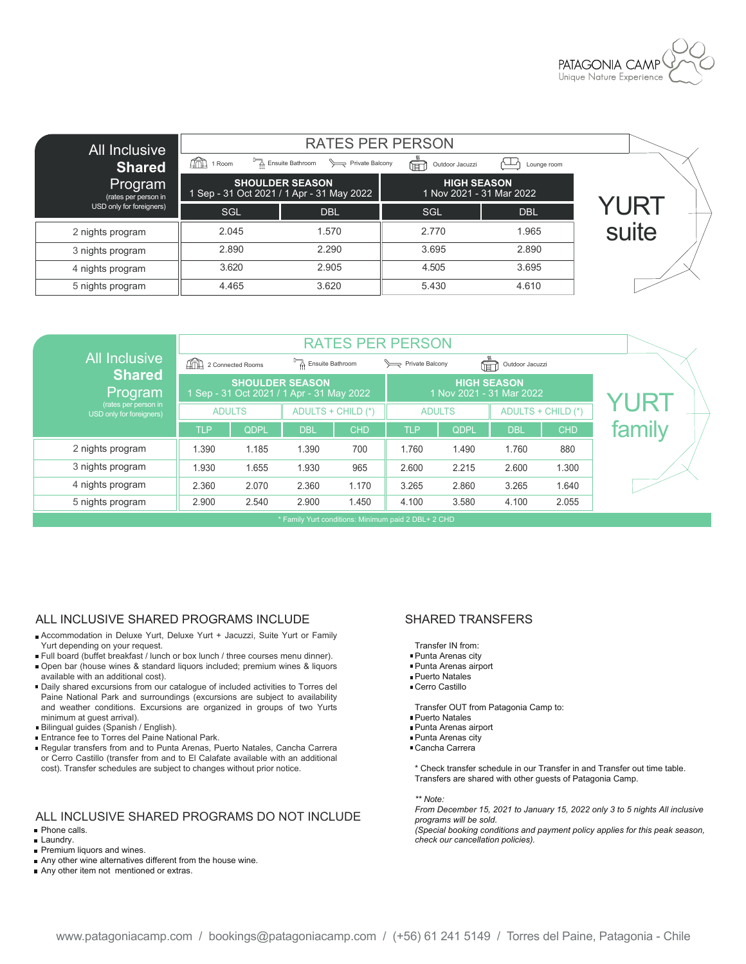

| All Inclusive<br>Shared         | $\widehat{\text{max}}$ 1 Room | <b>RATES PER PERSON</b><br>Ensuite Bathroom<br>Private Balcony      | Outdoor Jacuzzi<br>(TET)                       | Lounge room |       |
|---------------------------------|-------------------------------|---------------------------------------------------------------------|------------------------------------------------|-------------|-------|
| Program<br>(rates per person in |                               | <b>SHOULDER SEASON</b><br>1 Sep - 31 Oct 2021 / 1 Apr - 31 May 2022 | <b>HIGH SEASON</b><br>1 Nov 2021 - 31 Mar 2022 |             |       |
| USD only for foreigners)        | SGL                           | <b>DBL</b>                                                          | SGL                                            | <b>DBL</b>  | YURI  |
| 2 nights program                | 2.045                         | 1.570                                                               | 2.770                                          | 1.965       | suite |
| 3 nights program                | 2.890                         | 2.290                                                               | 3.695                                          | 2.890       |       |
| 4 nights program                | 3.620                         | 2.905                                                               | 4.505                                          | 3.695       |       |
| 5 nights program                | 4.465                         | 3.620                                                               | 5.430                                          | 4.610       |       |

|                                                     | <b>RATES PER PERSON</b>      |                                                                     |                  |                    |                 |               |                                                |                    |             |
|-----------------------------------------------------|------------------------------|---------------------------------------------------------------------|------------------|--------------------|-----------------|---------------|------------------------------------------------|--------------------|-------------|
| <b>All Inclusive</b>                                | <b>And 2 Connected Rooms</b> |                                                                     | Ensuite Bathroom |                    | Private Balcony |               | Ē<br>Outdoor Jacuzzi                           |                    |             |
| <b>Shared</b><br>Program                            |                              | <b>SHOULDER SEASON</b><br>1 Sep - 31 Oct 2021 / 1 Apr - 31 May 2022 |                  |                    |                 |               | <b>HIGH SEASON</b><br>1 Nov 2021 - 31 Mar 2022 |                    | <b>YURT</b> |
| (rates per person in<br>USD only for foreigners)    |                              | <b>ADULTS</b>                                                       |                  | ADULTS + CHILD (*) |                 | <b>ADULTS</b> |                                                | ADULTS + CHILD (*) |             |
|                                                     | <b>TLP</b>                   | QDPL                                                                | <b>DBL</b>       | <b>CHD</b>         | <b>TLP</b>      | QDPL          | <b>DBL</b>                                     | <b>CHD</b>         | family      |
| 2 nights program                                    | 1.390                        | 1.185                                                               | 1.390            | 700                | 1.760           | 1.490         | 1.760                                          | 880                |             |
| 3 nights program                                    | 1.930                        | 1.655                                                               | 1.930            | 965                | 2.600           | 2.215         | 2.600                                          | 1.300              |             |
| 4 nights program                                    | 2.360                        | 2.070                                                               | 2.360            | 1.170              | 3.265           | 2.860         | 3.265                                          | 1.640              |             |
| 5 nights program                                    | 2.900                        | 2.540                                                               | 2.900            | 1.450              | 4.100           | 3.580         | 4.100                                          | 2.055              |             |
| * Family Yurt conditions: Minimum paid 2 DBL+ 2 CHD |                              |                                                                     |                  |                    |                 |               |                                                |                    |             |

### ALL INCLUSIVE SHARED PROGRAMS INCLUDE SHARED TRANSFERS

- Accommodation in Deluxe Yurt, Deluxe Yurt + Jacuzzi, Suite Yurt or Family Yurt depending on your request.
- Full board (buffet breakfast / lunch or box lunch / three courses menu dinner).
- Open bar (house wines & standard liquors included; premium wines & liquors available with an additional cost).
- Daily shared excursions from our catalogue of included activities to Torres del Paine National Park and surroundings (excursions are subject to availability and weather conditions. Excursions are organized in groups of two Yurts minimum at guest arrival).
- Bilingual guides (Spanish / English).
- Entrance fee to Torres del Paine National Park.
- Regular transfers from and to Punta Arenas, Puerto Natales, Cancha Carrera or Cerro Castillo (transfer from and to El Calafate available with an additional cost). Transfer schedules are subject to changes without prior notice.

### ALL INCLUSIVE SHARED PROGRAMS DO NOT INCLUDE Phone calls.

- 
- **Laundry.**
- Premium liquors and wines.
- Any other wine alternatives different from the house wine.
- Any other item not mentioned or extras.

- Transfer IN from:
- Punta Arenas city
- Punta Arenas airport
- Puerto Natales
- Cerro Castillo

Transfer OUT from Patagonia Camp to:

- Puerto Natales
- Punta Arenas airport
- Punta Arenas city
- Cancha Carrera
- \* Check transfer schedule in our Transfer in and Transfer out time table. Transfers are shared with other guests of Patagonia Camp.

*\*\* Note:*

*From December 15, 2021 to January 15, 2022 only 3 to 5 nights All inclusive programs will be sold.*

*(Special booking conditions and payment policy applies for this peak season, check our cancellation policies).*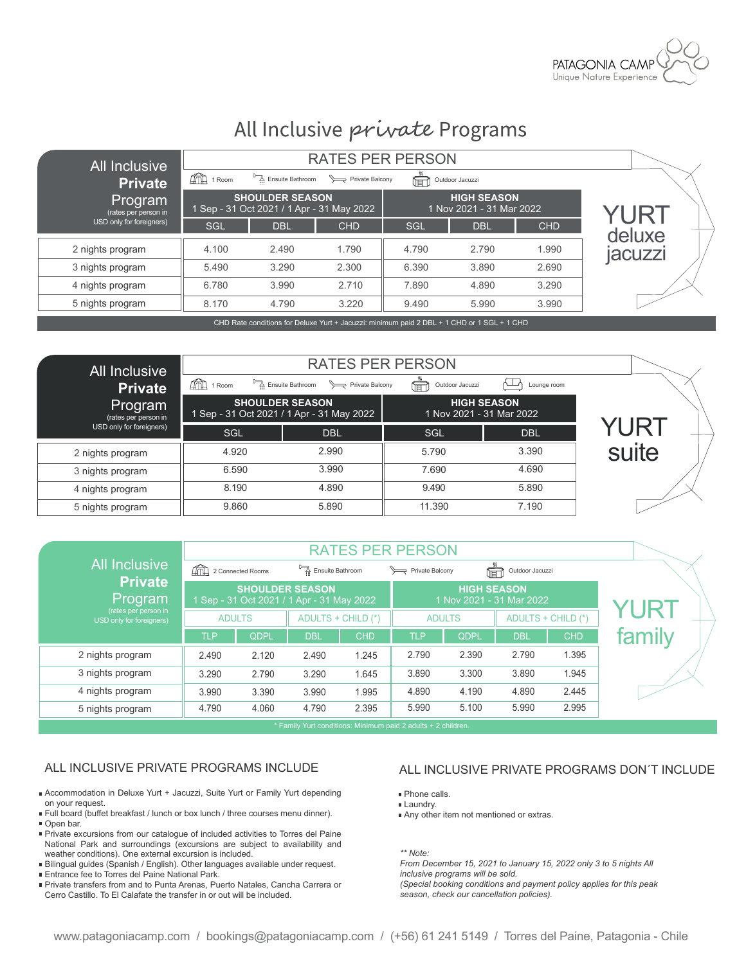

# All Inclusive private Programs

| All Inclusive                           |                               | <b>RATES PER PERSON</b>                                                                              |            |       |                                                |            |         |  |
|-----------------------------------------|-------------------------------|------------------------------------------------------------------------------------------------------|------------|-------|------------------------------------------------|------------|---------|--|
| <b>Private</b>                          | $\widehat{\text{max}}$ 1 Room | Ensuite Bathroom                                                                                     |            |       |                                                |            |         |  |
| <u> Program</u><br>(rates per person in |                               | <b>SHOULDER SEASON</b><br>1 Sep - 31 Oct 2021 / 1 Apr - 31 May 2022                                  |            |       | <b>HIGH SEASON</b><br>1 Nov 2021 - 31 Mar 2022 |            | YURT    |  |
| USD only for foreigners)                | <b>SGL</b>                    | <b>DBL</b>                                                                                           | <b>CHD</b> | SGL   | <b>DBL</b>                                     | <b>CHD</b> | deluxe  |  |
| 2 nights program                        | 4.100                         | 2.490                                                                                                | 1.790      | 4.790 | 2.790                                          | 1.990      | jacuzzi |  |
| 3 nights program                        | 5.490                         | 3.290                                                                                                | 2.300      | 6.390 | 3.890                                          | 2.690      |         |  |
| 4 nights program                        | 6.780                         | 3.990                                                                                                | 2.710      | 7.890 | 4.890                                          | 3.290      |         |  |
| 5 nights program                        | 8.170                         | 4.790                                                                                                | 3.220      | 9.490 | 5.990                                          | 3.990      |         |  |
|                                         |                               | <u>OUD Detailed Bernstein Detection Ment and Leastern and the constitution of Detailed Authority</u> |            |       |                                                |            |         |  |

CHD Rate conditions for Deluxe Yurt + Jacuzzi: minimum paid 2 DBL + 1 CHD or 1 SGL + 1 CH

| All Inclusive<br><b>Private</b> | ÍФ<br>1 Room | <b>RATES PER PERSON</b><br>Ensuite Bathroom > Private Balcony       | Outdoor Jacuzzi<br>偏 | Lounge room                                    |       |
|---------------------------------|--------------|---------------------------------------------------------------------|----------------------|------------------------------------------------|-------|
| Program<br>(rates per person in |              | <b>SHOULDER SEASON</b><br>1 Sep - 31 Oct 2021 / 1 Apr - 31 May 2022 |                      | <b>HIGH SEASON</b><br>1 Nov 2021 - 31 Mar 2022 |       |
| USD only for foreigners)        | <b>SGL</b>   | <b>DBL</b>                                                          | SGL                  | <b>DBL</b>                                     | YURT  |
| 2 nights program                | 4.920        | 2.990                                                               | 5.790                | 3.390                                          | suite |
| 3 nights program                | 6.590        | 3.990                                                               | 7.690                | 4.690                                          |       |
| 4 nights program                | 8.190        | 4.890                                                               | 9.490                | 5.890                                          |       |
| 5 nights program                | 9.860        | 5.890                                                               | 11.390               | 7.190                                          |       |

|                                                  | <b>RATES PER PERSON</b> |                                           |                        |                    |                 |                    |                          |                    |        |
|--------------------------------------------------|-------------------------|-------------------------------------------|------------------------|--------------------|-----------------|--------------------|--------------------------|--------------------|--------|
| <b>All Inclusive</b>                             | 2 Connected Rooms       |                                           | Ensuite Bathroom       |                    | Private Balcony |                    | Outdoor Jacuzzi<br>甸     |                    |        |
| <b>Private</b><br>Program                        |                         | 1 Sep - 31 Oct 2021 / 1 Apr - 31 May 2022 | <b>SHOULDER SEASON</b> |                    |                 | <b>HIGH SEASON</b> | 1 Nov 2021 - 31 Mar 2022 |                    |        |
| (rates per person in<br>USD only for foreigners) |                         | <b>ADULTS</b>                             |                        | ADULTS + CHILD (*) |                 | <b>ADULTS</b>      |                          | ADULTS + CHILD (*) | YUR.   |
|                                                  | <b>TLP</b>              | QDPL                                      | <b>DBL</b>             | <b>CHD</b>         | <b>TLP</b>      | QDPL               | <b>DBL</b>               | <b>CHD</b>         | family |
| 2 nights program                                 | 2.490                   | 2.120                                     | 2.490                  | 1.245              | 2.790           | 2.390              | 2.790                    | 1.395              |        |
| 3 nights program                                 | 3.290                   | 2.790                                     | 3.290                  | 1.645              | 3.890           | 3.300              | 3.890                    | 1.945              |        |
| 4 nights program                                 | 3.990                   | 3.390                                     | 3.990                  | 1.995              | 4.890           | 4.190              | 4.890                    | 2.445              |        |
| 5 nights program                                 | 4.790                   | 4.060                                     | 4.790                  | 2.395              | 5.990           | 5.100              | 5.990                    | 2.995              |        |

Family Yurt conditions: Minimum paid 2 adults + 2 children.

- Accommodation in Deluxe Yurt + Jacuzzi, Suite Yurt or Family Yurt depending on your request.
- Full board (buffet breakfast / lunch or box lunch / three courses menu dinner). Open bar.
- Private excursions from our catalogue of included activities to Torres del Paine National Park and surroundings (excursions are subject to availability and weather conditions). One external excursion is included.
- Bilingual guides (Spanish / English). Other languages available under request.
- **Entrance fee to Torres del Paine National Park.**
- Private transfers from and to Punta Arenas, Puerto Natales, Cancha Carrera or Cerro Castillo. To El Calafate the transfer in or out will be included.

### ALL INCLUSIVE PRIVATE PROGRAMS INCLUDE ALL INCLUSIVE PRIVATE PROGRAMS DON'T INCLUDE

- **Phone calls.**
- **Laundry.**
- Any other item not mentioned or extras.

*\*\* Note:*

*From December 15, 2021 to January 15, 2022 only 3 to 5 nights All inclusive programs will be sold. (Special booking conditions and payment policy applies for this peak season, check our cancellation policies).*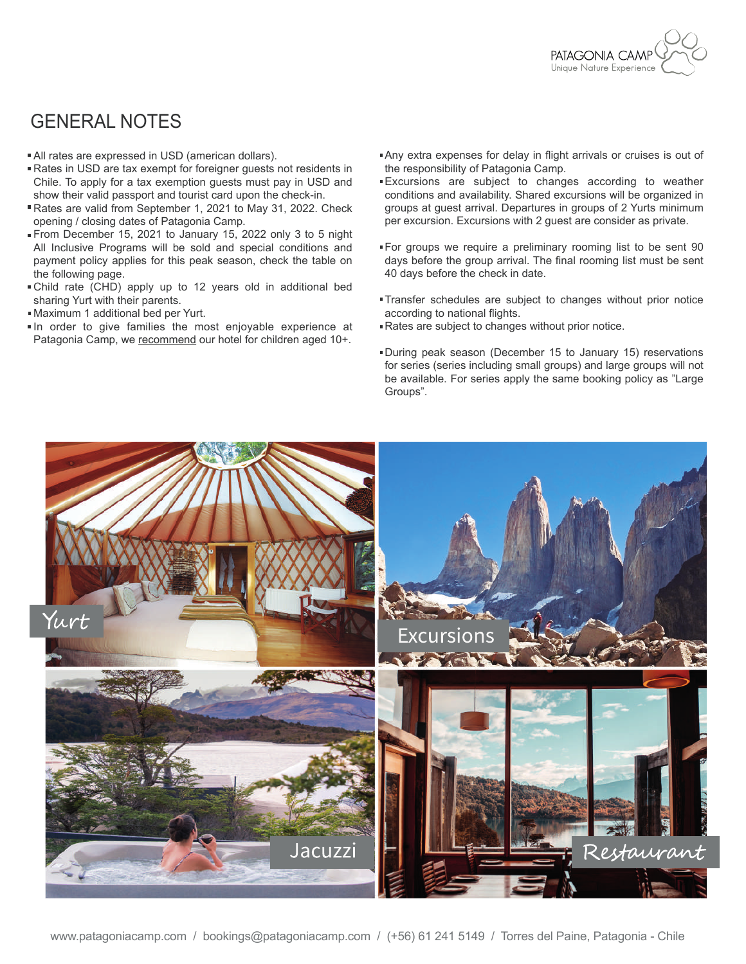

### GENERAL NOTES

- All rates are expressed in USD (american dollars).
- Rates in USD are tax exempt for foreigner guests not residents in Chile. To apply for a tax exemption guests must pay in USD and show their valid passport and tourist card upon the check-in.
- Rates are valid from September 1, 2021 to May 31, 2022. Check opening / closing dates of Patagonia Camp.
- From December 15, 2021 to January 15, 2022 only 3 to 5 night All Inclusive Programs will be sold and special conditions and payment policy applies for this peak season, check the table on the following page.
- Child rate (CHD) apply up to 12 years old in additional bed sharing Yurt with their parents.
- Maximum 1 additional bed per Yurt.
- In order to give families the most enjoyable experience at Patagonia Camp, we recommend our hotel for children aged 10+.
- Any extra expenses for delay in flight arrivals or cruises is out of the responsibility of Patagonia Camp.
- Excursions are subject to changes according to weather conditions and availability. Shared excursions will be organized in groups at guest arrival. Departures in groups of 2 Yurts minimum per excursion. Excursions with 2 guest are consider as private.
- For groups we require a preliminary rooming list to be sent 90 days before the group arrival. The final rooming list must be sent 40 days before the check in date.
- Transfer schedules are subject to changes without prior notice according to national flights.
- Rates are subject to changes without prior notice.
- During peak season (December 15 to January 15) reservations for series (series including small groups) and large groups will not be available. For series apply the same booking policy as "Large Groups".

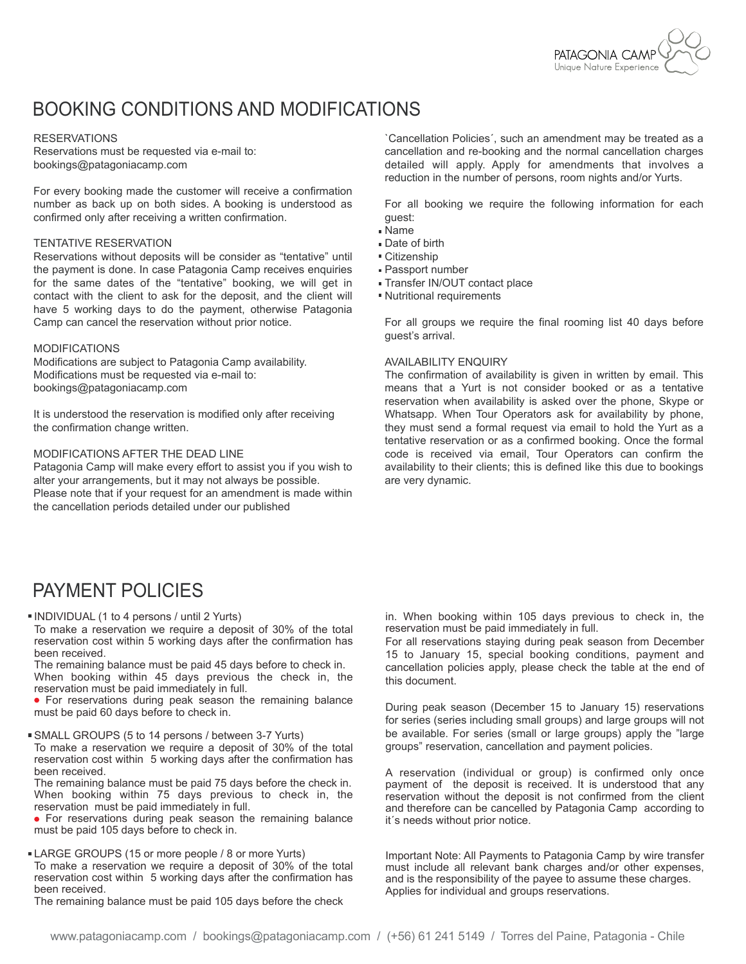

## BOOKING CONDITIONS AND MODIFICATIONS

### **RESERVATIONS**

Reservations must be requested via e-mail to: bookings@patagoniacamp.com

For every booking made the customer will receive a confirmation number as back up on both sides. A booking is understood as confirmed only after receiving a written confirmation.

### TENTATIVE RESERVATION

Reservations without deposits will be consider as "tentative" until the payment is done. In case Patagonia Camp receives enquiries for the same dates of the "tentative" booking, we will get in contact with the client to ask for the deposit, and the client will have 5 working days to do the payment, otherwise Patagonia Camp can cancel the reservation without prior notice.

### MODIFICATIONS

Modifications are subject to Patagonia Camp availability. Modifications must be requested via e-mail to: bookings@patagoniacamp.com

It is understood the reservation is modified only after receiving the confirmation change written.

### MODIFICATIONS AFTER THE DEAD LINE

Patagonia Camp will make every effort to assist you if you wish to alter your arrangements, but it may not always be possible. Please note that if your request for an amendment is made within the cancellation periods detailed under our published

`Cancellation Policies´, such an amendment may be treated as a cancellation and re-booking and the normal cancellation charges detailed will apply. Apply for amendments that involves a reduction in the number of persons, room nights and/or Yurts.

For all booking we require the following information for each guest:

- Name
- Date of birth
- Citizenship
- Passport number
- Transfer IN/OUT contact place
- Nutritional requirements

For all groups we require the final rooming list 40 days before guest's arrival.

### AVAILABILITY ENQUIRY

The confirmation of availability is given in written by email. This means that a Yurt is not consider booked or as a tentative reservation when availability is asked over the phone, Skype or Whatsapp. When Tour Operators ask for availability by phone, they must send a formal request via email to hold the Yurt as a tentative reservation or as a confirmed booking. Once the formal code is received via email, Tour Operators can confirm the availability to their clients; this is defined like this due to bookings are very dynamic.

### PAYMENT POLICIES

INDIVIDUAL (1 to 4 persons / until 2 Yurts)

To make a reservation we require a deposit of 30% of the total reservation cost within 5 working days after the confirmation has been received.

The remaining balance must be paid 45 days before to check in. When booking within 45 days previous the check in, the reservation must be paid immediately in full.

 For reservations during peak season the remaining balance must be paid 60 days before to check in.

SMALL GROUPS (5 to 14 persons / between 3-7 Yurts)

To make a reservation we require a deposit of 30% of the total reservation cost within 5 working days after the confirmation has been received.

The remaining balance must be paid 75 days before the check in. When booking within 75 days previous to check in, the reservation must be paid immediately in full.

 For reservations during peak season the remaining balance must be paid 105 days before to check in.

LARGE GROUPS (15 or more people / 8 or more Yurts) To make a reservation we require a deposit of 30% of the total reservation cost within 5 working days after the confirmation has been received.

The remaining balance must be paid 105 days before the check

in. When booking within 105 days previous to check in, the reservation must be paid immediately in full.

For all reservations staying during peak season from December 15 to January 15, special booking conditions, payment and cancellation policies apply, please check the table at the end of this document.

During peak season (December 15 to January 15) reservations for series (series including small groups) and large groups will not be available. For series (small or large groups) apply the "large groups" reservation, cancellation and payment policies.

A reservation (individual or group) is confirmed only once payment of the deposit is received. It is understood that any reservation without the deposit is not confirmed from the client and therefore can be cancelled by Patagonia Camp according to it´s needs without prior notice.

Important Note: All Payments to Patagonia Camp by wire transfer must include all relevant bank charges and/or other expenses, and is the responsibility of the payee to assume these charges. Applies for individual and groups reservations.